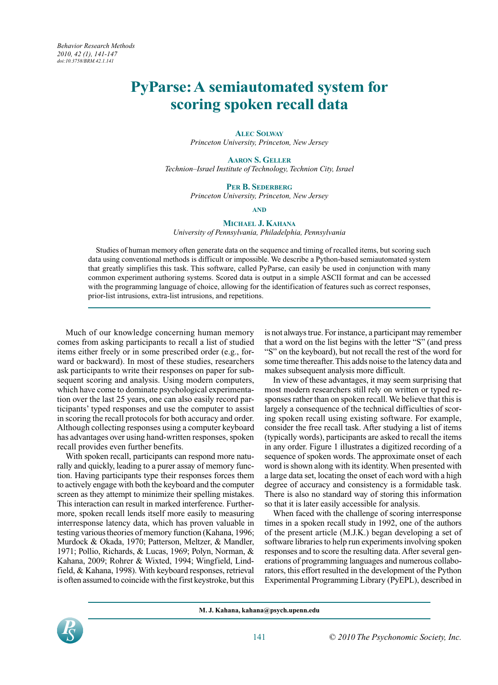# **PyParse: A semiautomated system for scoring spoken recall data**

# **Alec Solway**

*Princeton University, Princeton, New Jersey*

## **Aaron S. Geller**

*Technion–Israel Institute of Technology, Technion City, Israel*

## **Per B. Sederberg**

*Princeton University, Princeton, New Jersey*

**and**

# **Michael J. Kahana**

*University of Pennsylvania, Philadelphia, Pennsylvania*

Studies of human memory often generate data on the sequence and timing of recalled items, but scoring such data using conventional methods is difficult or impossible. We describe a Python-based semiautomated system that greatly simplifies this task. This software, called PyParse, can easily be used in conjunction with many common experiment authoring systems. Scored data is output in a simple ASCII format and can be accessed with the programming language of choice, allowing for the identification of features such as correct responses, prior-list intrusions, extra-list intrusions, and repetitions.

Much of our knowledge concerning human memory comes from asking participants to recall a list of studied items either freely or in some prescribed order (e.g., forward or backward). In most of these studies, researchers ask participants to write their responses on paper for subsequent scoring and analysis. Using modern computers, which have come to dominate psychological experimentation over the last 25 years, one can also easily record participants' typed responses and use the computer to assist in scoring the recall protocols for both accuracy and order. Although collecting responses using a computer keyboard has advantages over using hand-written responses, spoken recall provides even further benefits.

With spoken recall, participants can respond more naturally and quickly, leading to a purer assay of memory function. Having participants type their responses forces them to actively engage with both the keyboard and the computer screen as they attempt to minimize their spelling mistakes. This interaction can result in marked interference. Furthermore, spoken recall lends itself more easily to measuring interresponse latency data, which has proven valuable in testing various theories of memory function (Kahana, 1996; Murdock & Okada, 1970; Patterson, Meltzer, & Mandler, 1971; Pollio, Richards, & Lucas, 1969; Polyn, Norman, & Kahana, 2009; Rohrer & Wixted, 1994; Wingfield, Lindfield, & Kahana, 1998). With keyboard responses, retrieval is often assumed to coincide with the first keystroke, but this

is not always true. For instance, a participant may remember that a word on the list begins with the letter "S" (and press "S" on the keyboard), but not recall the rest of the word for some time thereafter. This adds noise to the latency data and makes subsequent analysis more difficult.

In view of these advantages, it may seem surprising that most modern researchers still rely on written or typed responses rather than on spoken recall. We believe that this is largely a consequence of the technical difficulties of scoring spoken recall using existing software. For example, consider the free recall task. After studying a list of items (typically words), participants are asked to recall the items in any order. Figure 1 illustrates a digitized recording of a sequence of spoken words. The approximate onset of each word is shown along with its identity. When presented with a large data set, locating the onset of each word with a high degree of accuracy and consistency is a formidable task. There is also no standard way of storing this information so that it is later easily accessible for analysis.

When faced with the challenge of scoring interresponse times in a spoken recall study in 1992, one of the authors of the present article (M.J.K.) began developing a set of software libraries to help run experiments involving spoken responses and to score the resulting data. After several generations of programming languages and numerous collaborators, this effort resulted in the development of the Python Experimental Programming Library (PyEPL), described in

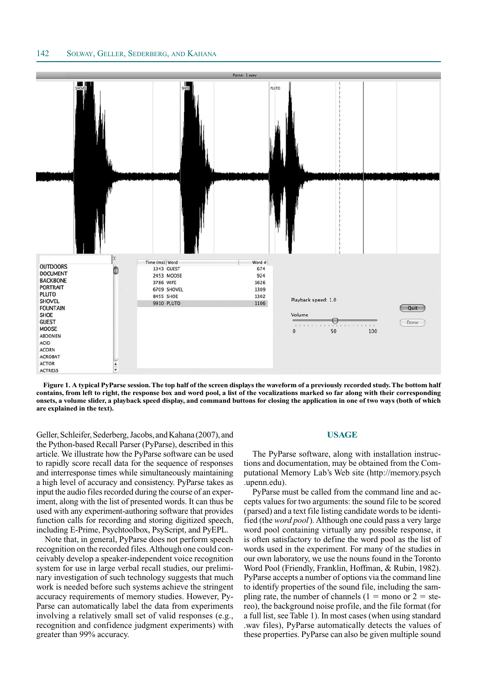

**Figure 1. A typical PyParse session. The top half of the screen displays the waveform of a previously recorded study. The bottom half contains, from left to right, the response box and word pool, a list of the vocalizations marked so far along with their corresponding onsets, a volume slider, a playback speed display, and command buttons for closing the application in one of two ways (both of which are explained in the text).**

Geller, Schleifer, Sederberg, Jacobs, and Kahana (2007), and the Python-based Recall Parser (PyParse), described in this article. We illustrate how the PyParse software can be used to rapidly score recall data for the sequence of responses and interresponse times while simultaneously maintaining a high level of accuracy and consistency. PyParse takes as input the audio files recorded during the course of an experiment, along with the list of presented words. It can thus be used with any experiment-authoring software that provides function calls for recording and storing digitized speech, including E-Prime, Psychtoolbox, PsyScript, and PyEPL.

Note that, in general, PyParse does not perform speech recognition on the recorded files. Although one could conceivably develop a speaker-independent voice recognition system for use in large verbal recall studies, our preliminary investigation of such technology suggests that much work is needed before such systems achieve the stringent accuracy requirements of memory studies. However, Py-Parse can automatically label the data from experiments involving a relatively small set of valid responses (e.g., recognition and confidence judgment experiments) with greater than 99% accuracy.

### **Usage**

The PyParse software, along with installation instructions and documentation, may be obtained from the Computational Memory Lab's Web site (http://memory.psych .upenn.edu).

PyParse must be called from the command line and accepts values for two arguments: the sound file to be scored (parsed) and a text file listing candidate words to be identified (the *word pool*). Although one could pass a very large word pool containing virtually any possible response, it is often satisfactory to define the word pool as the list of words used in the experiment. For many of the studies in our own laboratory, we use the nouns found in the Toronto Word Pool (Friendly, Franklin, Hoffman, & Rubin, 1982). PyParse accepts a number of options via the command line to identify properties of the sound file, including the sampling rate, the number of channels ( $1 =$  mono or  $2 =$  stereo), the background noise profile, and the file format (for a full list, see Table 1). In most cases (when using standard .wav files), PyParse automatically detects the values of these properties. PyParse can also be given multiple sound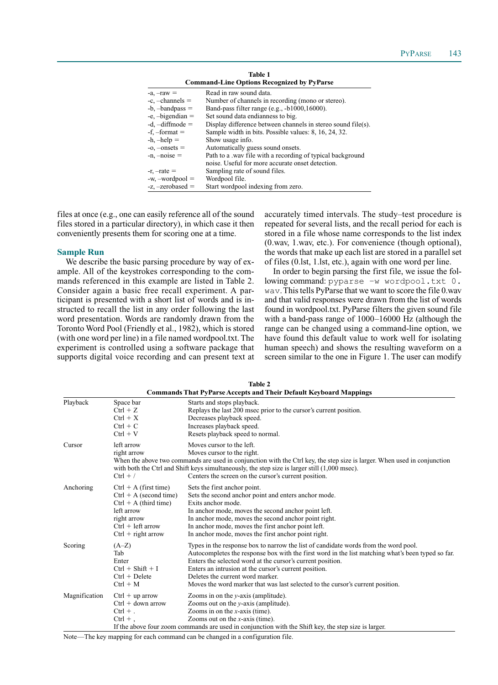| <b>Command-Line Options Recognized by PyParse</b> |                                                              |  |
|---------------------------------------------------|--------------------------------------------------------------|--|
| $-a$ , $-raw =$                                   | Read in raw sound data.                                      |  |
| $-c$ , $-channels =$                              | Number of channels in recording (mono or stereo).            |  |
| $-b$ , $-b$ andpass $=$                           | Band-pass filter range $(e.g., -b1000, 16000)$ .             |  |
| $-e$ , $-bigendian =$                             | Set sound data endianness to big.                            |  |
| $-d$ , $-diffmode =$                              | Display difference between channels in stereo sound file(s). |  |
| $-f$ , $-format =$                                | Sample width in bits. Possible values: 8, 16, 24, 32.        |  |
| $-h, -help =$                                     | Show usage info.                                             |  |
| $-0$ , $-$ onsets $=$                             | Automatically guess sound onsets.                            |  |
| $-n$ , $-noise =$                                 | Path to a .wav file with a recording of typical background   |  |
|                                                   | noise. Useful for more accurate onset detection.             |  |
| $-r$ , $-rate =$                                  | Sampling rate of sound files.                                |  |
| $-w$ , $-wordpool =$                              | Wordpool file.                                               |  |
| $-z$ , $-z$ erobased $=$                          | Start wordpool indexing from zero.                           |  |

**Table 1 Command-Line Options Recognized by PyParse**

files at once (e.g., one can easily reference all of the sound files stored in a particular directory), in which case it then conveniently presents them for scoring one at a time.

# **Sample Run**

We describe the basic parsing procedure by way of example. All of the keystrokes corresponding to the commands referenced in this example are listed in Table 2. Consider again a basic free recall experiment. A participant is presented with a short list of words and is instructed to recall the list in any order following the last word presentation. Words are randomly drawn from the Toronto Word Pool (Friendly et al., 1982), which is stored (with one word per line) in a file named wordpool.txt. The experiment is controlled using a software package that supports digital voice recording and can present text at accurately timed intervals. The study–test procedure is repeated for several lists, and the recall period for each is stored in a file whose name corresponds to the list index (0.wav, 1.wav, etc.). For convenience (though optional), the words that make up each list are stored in a parallel set of files (0.lst, 1.lst, etc.), again with one word per line.

In order to begin parsing the first file, we issue the following command: pyparse -w wordpool.txt 0. wav. This tells PyParse that we want to score the file 0.wav and that valid responses were drawn from the list of words found in wordpool.txt. PyParse filters the given sound file with a band-pass range of 1000–16000 Hz (although the range can be changed using a command-line option, we have found this default value to work well for isolating human speech) and shows the resulting waveform on a screen similar to the one in Figure 1. The user can modify

| Commands That I yi al sc Accepts and Their Delault Keyboard Mappings |                                                                                                                                                                                                                                                                                                                                                                                           |                                                                                                                                                                                                                                                                                                                                                                                                                                       |
|----------------------------------------------------------------------|-------------------------------------------------------------------------------------------------------------------------------------------------------------------------------------------------------------------------------------------------------------------------------------------------------------------------------------------------------------------------------------------|---------------------------------------------------------------------------------------------------------------------------------------------------------------------------------------------------------------------------------------------------------------------------------------------------------------------------------------------------------------------------------------------------------------------------------------|
| Playback                                                             | Space bar<br>$Ctrl + Z$<br>$Ctrl + X$<br>$Ctrl + C$<br>$Ctrl + V$                                                                                                                                                                                                                                                                                                                         | Starts and stops playback.<br>Replays the last 200 msec prior to the cursor's current position.<br>Decreases playback speed.<br>Increases playback speed.<br>Resets playback speed to normal.                                                                                                                                                                                                                                         |
| Cursor                                                               | left arrow<br>Moves cursor to the left.<br>Moves cursor to the right.<br>right arrow<br>When the above two commands are used in conjunction with the Ctrl key, the step size is larger. When used in conjunction<br>with both the Ctrl and Shift keys simultaneously, the step size is larger still $(1,000$ msec).<br>$Ctrl + /$<br>Centers the screen on the cursor's current position. |                                                                                                                                                                                                                                                                                                                                                                                                                                       |
| Anchoring                                                            | $Ctrl + A (first time)$<br>$Ctrl + A$ (second time)<br>$Ctrl + A$ (third time)<br>left arrow<br>right arrow<br>$Ctrl + left arrow$<br>$Ctrl + right arrow$                                                                                                                                                                                                                                | Sets the first anchor point.<br>Sets the second anchor point and enters anchor mode.<br>Exits anchor mode.<br>In anchor mode, moves the second anchor point left.<br>In anchor mode, moves the second anchor point right.<br>In anchor mode, moves the first anchor point left.<br>In anchor mode, moves the first anchor point right.                                                                                                |
| Scoring                                                              | $(A-Z)$<br>Tab<br>Enter<br>$Ctrl + Shift + I$<br>$Ctrl + Delete$<br>$Ctrl + M$                                                                                                                                                                                                                                                                                                            | Types in the response box to narrow the list of candidate words from the word pool.<br>Autocompletes the response box with the first word in the list matching what's been typed so far.<br>Enters the selected word at the cursor's current position.<br>Enters an intrusion at the cursor's current position.<br>Deletes the current word marker.<br>Moves the word marker that was last selected to the cursor's current position. |
| Magnification                                                        | $Ctrl + up arrow$<br>$Ctrl + down arrow$<br>$Ctrl + .$<br>$Ctrl +$ .                                                                                                                                                                                                                                                                                                                      | Zooms in on the $y$ -axis (amplitude).<br>Zooms out on the $y$ -axis (amplitude).<br>Zooms in on the $x$ -axis (time).<br>Zooms out on the $x$ -axis (time).<br>If the above four zoom commands are used in conjunction with the Shift key, the step size is larger.                                                                                                                                                                  |

**Table 2 Commands That PyParse Accepts and Their Default Keyboard Mappings**

Note—The key mapping for each command can be changed in a configuration file.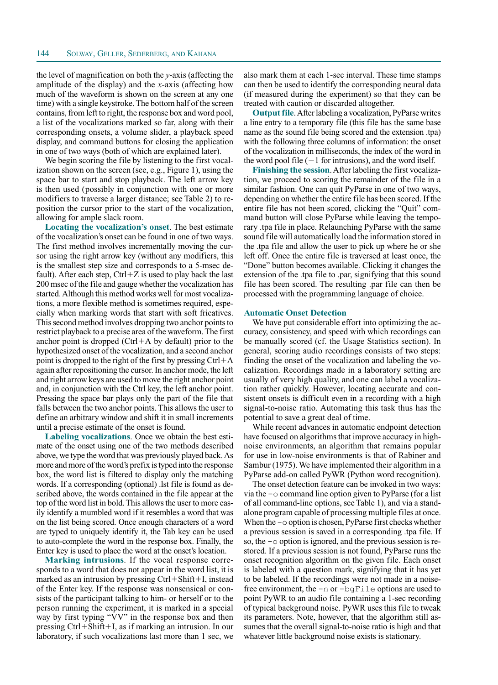the level of magnification on both the *y*-axis (affecting the amplitude of the display) and the *x*-axis (affecting how much of the waveform is shown on the screen at any one time) with a single keystroke. The bottom half of the screen contains, from left to right, the response box and word pool, a list of the vocalizations marked so far, along with their corresponding onsets, a volume slider, a playback speed display, and command buttons for closing the application in one of two ways (both of which are explained later).

We begin scoring the file by listening to the first vocalization shown on the screen (see, e.g., Figure 1), using the space bar to start and stop playback. The left arrow key is then used (possibly in conjunction with one or more modifiers to traverse a larger distance; see Table 2) to reposition the cursor prior to the start of the vocalization, allowing for ample slack room.

**Locating the vocalization's onset**. The best estimate of the vocalization's onset can be found in one of two ways. The first method involves incrementally moving the cursor using the right arrow key (without any modifiers, this is the smallest step size and corresponds to a 5-msec default). After each step,  $Ctrl + Z$  is used to play back the last 200 msec of the file and gauge whether the vocalization has started. Although this method works well for most vocalizations, a more flexible method is sometimes required, especially when marking words that start with soft fricatives. This second method involves dropping two anchor points to restrict playback to a precise area of the waveform. The first anchor point is dropped  $(Ctrl + A$  by default) prior to the hypothesized onset of the vocalization, and a second anchor point is dropped to the right of the first by pressing  $Ctrl + A$ again after repositioning the cursor. In anchor mode, the left and right arrow keys are used to move the right anchor point and, in conjunction with the Ctrl key, the left anchor point. Pressing the space bar plays only the part of the file that falls between the two anchor points. This allows the user to define an arbitrary window and shift it in small increments until a precise estimate of the onset is found.

**Labeling vocalizations**. Once we obtain the best estimate of the onset using one of the two methods described above, we type the word that was previously played back. As more and more of the word's prefix is typed into the response box, the word list is filtered to display only the matching words. If a corresponding (optional) .lst file is found as described above, the words contained in the file appear at the top of the word list in bold. This allows the user to more easily identify a mumbled word if it resembles a word that was on the list being scored. Once enough characters of a word are typed to uniquely identify it, the Tab key can be used to auto-complete the word in the response box. Finally, the Enter key is used to place the word at the onset's location.

**Marking intrusions**. If the vocal response corresponds to a word that does not appear in the word list, it is marked as an intrusion by pressing  $Ctrl + Shift + I$ , instead of the Enter key. If the response was nonsensical or consists of the participant talking to him- or herself or to the person running the experiment, it is marked in a special way by first typing "VV" in the response box and then pressing Ctrl+Shift+I, as if marking an intrusion. In our laboratory, if such vocalizations last more than 1 sec, we also mark them at each 1-sec interval. These time stamps can then be used to identify the corresponding neural data (if measured during the experiment) so that they can be treated with caution or discarded altogether.

**Output file**. After labeling a vocalization, PyParse writes a line entry to a temporary file (this file has the same base name as the sound file being scored and the extension .tpa) with the following three columns of information: the onset of the vocalization in milliseconds, the index of the word in the word pool file  $(-1$  for intrusions), and the word itself.

**Finishing the session**. After labeling the first vocalization, we proceed to scoring the remainder of the file in a similar fashion. One can quit PyParse in one of two ways, depending on whether the entire file has been scored. If the entire file has not been scored, clicking the "Quit" command button will close PyParse while leaving the temporary .tpa file in place. Relaunching PyParse with the same sound file will automatically load the information stored in the .tpa file and allow the user to pick up where he or she left off. Once the entire file is traversed at least once, the "Done" button becomes available. Clicking it changes the extension of the .tpa file to .par, signifying that this sound file has been scored. The resulting .par file can then be processed with the programming language of choice.

## **Automatic Onset Detection**

We have put considerable effort into optimizing the accuracy, consistency, and speed with which recordings can be manually scored (cf. the Usage Statistics section). In general, scoring audio recordings consists of two steps: finding the onset of the vocalization and labeling the vocalization. Recordings made in a laboratory setting are usually of very high quality, and one can label a vocalization rather quickly. However, locating accurate and consistent onsets is difficult even in a recording with a high signal-to-noise ratio. Automating this task thus has the potential to save a great deal of time.

While recent advances in automatic endpoint detection have focused on algorithms that improve accuracy in highnoise environments, an algorithm that remains popular for use in low-noise environments is that of Rabiner and Sambur (1975). We have implemented their algorithm in a PyParse add-on called PyWR (Python word recognition).

The onset detection feature can be invoked in two ways: via the -o command line option given to PyParse (for a list of all command-line options, see Table 1), and via a standalone program capable of processing multiple files at once. When the  $-\circ$  option is chosen, PyParse first checks whether a previous session is saved in a corresponding .tpa file. If so, the -o option is ignored, and the previous session is restored. If a previous session is not found, PyParse runs the onset recognition algorithm on the given file. Each onset is labeled with a question mark, signifying that it has yet to be labeled. If the recordings were not made in a noisefree environment, the -n or -bgFile options are used to point PyWR to an audio file containing a 1-sec recording of typical background noise. PyWR uses this file to tweak its parameters. Note, however, that the algorithm still assumes that the overall signal-to-noise ratio is high and that whatever little background noise exists is stationary.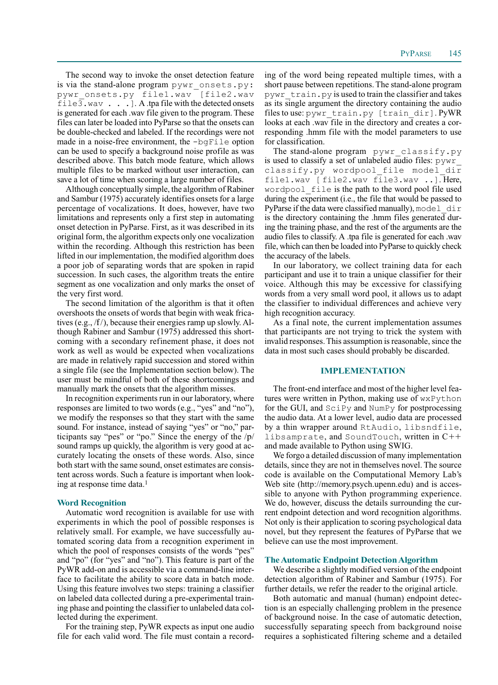The second way to invoke the onset detection feature is via the stand-alone program pywr\_onsets.py: pywr\_onsets.py file1.wav [file2.wav file3.wav . . .]. A .tpa file with the detected onsets is generated for each .wav file given to the program. These files can later be loaded into PyParse so that the onsets can be double-checked and labeled. If the recordings were not made in a noise-free environment, the -bgFile option can be used to specify a background noise profile as was described above. This batch mode feature, which allows multiple files to be marked without user interaction, can save a lot of time when scoring a large number of files.

Although conceptually simple, the algorithm of Rabiner and Sambur (1975) accurately identifies onsets for a large percentage of vocalizations. It does, however, have two limitations and represents only a first step in automating onset detection in PyParse. First, as it was described in its original form, the algorithm expects only one vocalization within the recording. Although this restriction has been lifted in our implementation, the modified algorithm does a poor job of separating words that are spoken in rapid succession. In such cases, the algorithm treats the entire segment as one vocalization and only marks the onset of the very first word.

The second limitation of the algorithm is that it often overshoots the onsets of words that begin with weak fricatives (e.g., /f/), because their energies ramp up slowly. Although Rabiner and Sambur (1975) addressed this shortcoming with a secondary refinement phase, it does not work as well as would be expected when vocalizations are made in relatively rapid succession and stored within a single file (see the Implementation section below). The user must be mindful of both of these shortcomings and manually mark the onsets that the algorithm misses.

In recognition experiments run in our laboratory, where responses are limited to two words (e.g., "yes" and "no"), we modify the responses so that they start with the same sound. For instance, instead of saying "yes" or "no," participants say "pes" or "po." Since the energy of the /p/ sound ramps up quickly, the algorithm is very good at accurately locating the onsets of these words. Also, since both start with the same sound, onset estimates are consistent across words. Such a feature is important when looking at response time data.1

## **Word Recognition**

Automatic word recognition is available for use with experiments in which the pool of possible responses is relatively small. For example, we have successfully automated scoring data from a recognition experiment in which the pool of responses consists of the words "pes" and "po" (for "yes" and "no"). This feature is part of the PyWR add-on and is accessible via a command-line interface to facilitate the ability to score data in batch mode. Using this feature involves two steps: training a classifier on labeled data collected during a pre-experimental training phase and pointing the classifier to unlabeled data collected during the experiment.

For the training step, PyWR expects as input one audio file for each valid word. The file must contain a record-

ing of the word being repeated multiple times, with a short pause between repetitions. The stand-alone program pywr train.py is used to train the classifier and takes as its single argument the directory containing the audio files to use: pywr\_train.py [train\_dir]. PyWR looks at each .wav file in the directory and creates a corresponding .hmm file with the model parameters to use for classification.

The stand-alone program pywr classify.py is used to classify a set of unlabeled audio files: pywr\_ classify.py wordpool file model dir file1.wav [ file2.wav file3.wav ..]. Here, wordpool\_file is the path to the word pool file used during the experiment (i.e., the file that would be passed to PyParse if the data were classified manually), model\_dir is the directory containing the .hmm files generated during the training phase, and the rest of the arguments are the audio files to classify. A .tpa file is generated for each .wav file, which can then be loaded into PyParse to quickly check the accuracy of the labels.

In our laboratory, we collect training data for each participant and use it to train a unique classifier for their voice. Although this may be excessive for classifying words from a very small word pool, it allows us to adapt the classifier to individual differences and achieve very high recognition accuracy.

As a final note, the current implementation assumes that participants are not trying to trick the system with invalid responses. This assumption is reasonable, since the data in most such cases should probably be discarded.

## **Implementation**

The front-end interface and most of the higher level features were written in Python, making use of wxPython for the GUI, and SciPy and NumPy for postprocessing the audio data. At a lower level, audio data are processed by a thin wrapper around RtAudio, libsndfile, libsamprate, and SoundTouch, written in C++ and made available to Python using SWIG.

We forgo a detailed discussion of many implementation details, since they are not in themselves novel. The source code is available on the Computational Memory Lab's Web site (http://memory.psych.upenn.edu) and is accessible to anyone with Python programming experience. We do, however, discuss the details surrounding the current endpoint detection and word recognition algorithms. Not only is their application to scoring psychological data novel, but they represent the features of PyParse that we believe can use the most improvement.

## **The Automatic Endpoint Detection Algorithm**

We describe a slightly modified version of the endpoint detection algorithm of Rabiner and Sambur (1975). For further details, we refer the reader to the original article.

Both automatic and manual (human) endpoint detection is an especially challenging problem in the presence of background noise. In the case of automatic detection, successfully separating speech from background noise requires a sophisticated filtering scheme and a detailed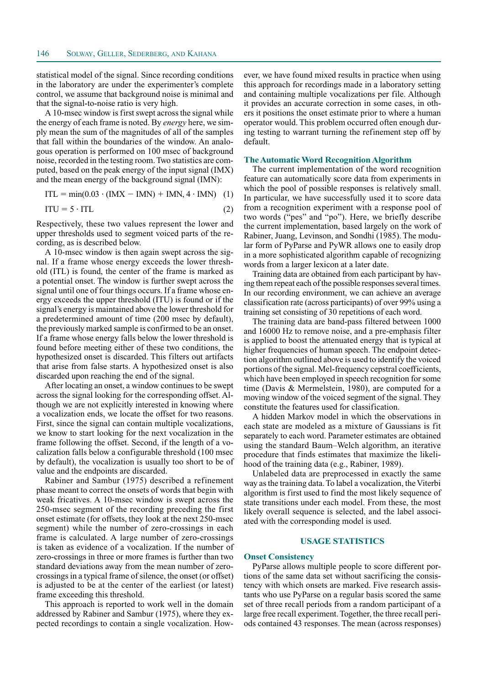statistical model of the signal. Since recording conditions in the laboratory are under the experimenter's complete control, we assume that background noise is minimal and that the signal-to-noise ratio is very high.

A 10-msec window is first swept across the signal while the energy of each frame is noted. By *energy* here, we simply mean the sum of the magnitudes of all of the samples that fall within the boundaries of the window. An analogous operation is performed on 100 msec of background noise, recorded in the testing room. Two statistics are computed, based on the peak energy of the input signal (IMX) and the mean energy of the background signal (IMN):

$$
ITL = min(0.03 \cdot (IMX - IMN) + IMN, 4 \cdot IMN) \quad (1)
$$

$$
ITU = 5 \cdot ITL \tag{2}
$$

Respectively, these two values represent the lower and upper thresholds used to segment voiced parts of the recording, as is described below.

A 10-msec window is then again swept across the signal. If a frame whose energy exceeds the lower threshold (ITL) is found, the center of the frame is marked as a potential onset. The window is further swept across the signal until one of four things occurs. If a frame whose energy exceeds the upper threshold (ITU) is found or if the signal's energy is maintained above the lower threshold for a predetermined amount of time (200 msec by default), the previously marked sample is confirmed to be an onset. If a frame whose energy falls below the lower threshold is found before meeting either of these two conditions, the hypothesized onset is discarded. This filters out artifacts that arise from false starts. A hypothesized onset is also discarded upon reaching the end of the signal.

After locating an onset, a window continues to be swept across the signal looking for the corresponding offset. Although we are not explicitly interested in knowing where a vocalization ends, we locate the offset for two reasons. First, since the signal can contain multiple vocalizations, we know to start looking for the next vocalization in the frame following the offset. Second, if the length of a vocalization falls below a configurable threshold (100 msec by default), the vocalization is usually too short to be of value and the endpoints are discarded.

Rabiner and Sambur (1975) described a refinement phase meant to correct the onsets of words that begin with weak fricatives. A 10-msec window is swept across the 250-msec segment of the recording preceding the first onset estimate (for offsets, they look at the next 250-msec segment) while the number of zero-crossings in each frame is calculated. A large number of zero-crossings is taken as evidence of a vocalization. If the number of zero-crossings in three or more frames is further than two standard deviations away from the mean number of zerocrossings in a typical frame of silence, the onset (or offset) is adjusted to be at the center of the earliest (or latest) frame exceeding this threshold.

This approach is reported to work well in the domain addressed by Rabiner and Sambur (1975), where they expected recordings to contain a single vocalization. However, we have found mixed results in practice when using this approach for recordings made in a laboratory setting and containing multiple vocalizations per file. Although it provides an accurate correction in some cases, in others it positions the onset estimate prior to where a human operator would. This problem occurred often enough during testing to warrant turning the refinement step off by default.

## **The Automatic Word Recognition Algorithm**

The current implementation of the word recognition feature can automatically score data from experiments in which the pool of possible responses is relatively small. In particular, we have successfully used it to score data from a recognition experiment with a response pool of two words ("pes" and "po"). Here, we briefly describe the current implementation, based largely on the work of Rabiner, Juang, Levinson, and Sondhi (1985). The modular form of PyParse and PyWR allows one to easily drop in a more sophisticated algorithm capable of recognizing words from a larger lexicon at a later date.

Training data are obtained from each participant by having them repeat each of the possible responses several times. In our recording environment, we can achieve an average classification rate (across participants) of over 99% using a training set consisting of 30 repetitions of each word.

The training data are band-pass filtered between 1000 and 16000 Hz to remove noise, and a pre-emphasis filter is applied to boost the attenuated energy that is typical at higher frequencies of human speech. The endpoint detection algorithm outlined above is used to identify the voiced portions of the signal. Mel-frequency cepstral coefficients, which have been employed in speech recognition for some time (Davis & Mermelstein, 1980), are computed for a moving window of the voiced segment of the signal. They constitute the features used for classification.

A hidden Markov model in which the observations in each state are modeled as a mixture of Gaussians is fit separately to each word. Parameter estimates are obtained using the standard Baum–Welch algorithm, an iterative procedure that finds estimates that maximize the likelihood of the training data (e.g., Rabiner, 1989).

Unlabeled data are preprocessed in exactly the same way as the training data. To label a vocalization, the Viterbi algorithm is first used to find the most likely sequence of state transitions under each model. From these, the most likely overall sequence is selected, and the label associated with the corresponding model is used.

# **Usage Statistics**

## **Onset Consistency**

PyParse allows multiple people to score different portions of the same data set without sacrificing the consistency with which onsets are marked. Five research assistants who use PyParse on a regular basis scored the same set of three recall periods from a random participant of a large free recall experiment. Together, the three recall periods contained 43 responses. The mean (across responses)